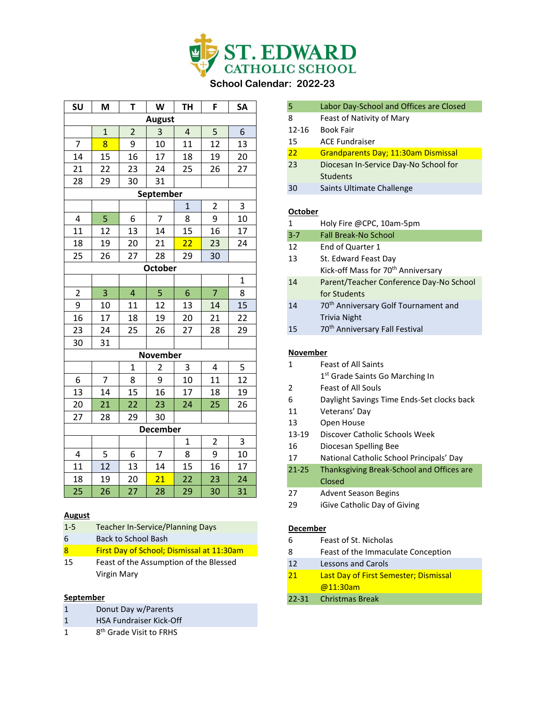

**SU M T W TH F SA**

### **August**

| $1 - 5$ | Teacher In-Service/Planning Days |
|---------|----------------------------------|
|---------|----------------------------------|

- 6 Back to School Bash
- 8 First Day of School; Dismissal at 11:30am
- 15 Feast of the Assumption of the Blessed Virgin Mary

#### **September**

- 1 Donut Day w/Parents
- 1 HSA Fundraiser Kick-Off
- $\mathbf 1$ 8<sup>th</sup> Grade Visit to FRHS

| 5         | Labor Day-School and Offices are Closed    |
|-----------|--------------------------------------------|
| 8         | Feast of Nativity of Mary                  |
| $12 - 16$ | <b>Book Fair</b>                           |
| 15        | <b>ACE Fundraiser</b>                      |
| 22        | <b>Grandparents Day: 11:30am Dismissal</b> |
| 23        | Diocesan In-Service Day-No School for      |
|           | <b>Students</b>                            |
| 30        | Saints Ultimate Challenge                  |
|           |                                            |

### **October**

| $\mathbf{1}$ | Holy Fire @CPC, 10am-5pm                         |
|--------------|--------------------------------------------------|
| $3 - 7$      | Fall Break-No School                             |
| 12           | End of Quarter 1                                 |
| 13           | St. Edward Feast Day                             |
|              | Kick-off Mass for 70 <sup>th</sup> Anniversary   |
| 14           | Parent/Teacher Conference Day-No School          |
|              | for Students                                     |
| 14           | 70 <sup>th</sup> Anniversary Golf Tournament and |
|              | Trivia Night                                     |
| 15           | 70 <sup>th</sup> Anniversary Fall Festival       |
|              |                                                  |
| November     |                                                  |
| 1            | <b>Feast of All Saints</b>                       |
|              | 1 <sup>st</sup> Grade Saints Go Marching In      |
| 2            | <b>Feast of All Souls</b>                        |
|              |                                                  |

- 6 Daylight Savings Time Ends-Set clocks back
- 11 Veterans' Day
- 13 Open House
- 13-19 Discover Catholic Schools Week
- 16 Diocesan Spelling Bee
- 17 National Catholic School Principals' Day
- 21-25 Thanksgiving Break-School and Offices are Closed
- 27 Advent Season Begins
- 29 iGive Catholic Day of Giving

#### **December**

- 6 Feast of St. Nicholas
- 8 Feast of the Immaculate Conception
- 12 Lessons and Carols
- 21 Last Day of First Semester; Dismissal @11:30am
- 22-31 Christmas Break